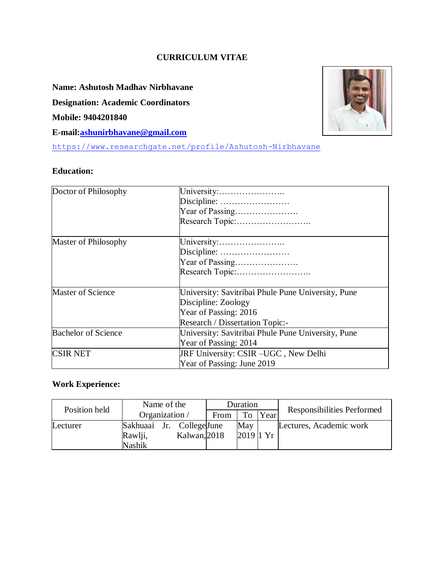### **CURRICULUM VITAE**

#### **Name: Ashutosh Madhav Nirbhavane**

**Designation: Academic Coordinators**

**Mobile: 9404201840**

**E-mail[:ashunirbhavane@gmail.com](mailto:ashunirbhavane@gmail.com)**

<https://www.researchgate.net/profile/Ashutosh-Nirbhavane>

#### **Education:**



#### **Work Experience:**

| Position held | Name of the   |                 | Duration |             |      | Responsibilities Performed |
|---------------|---------------|-----------------|----------|-------------|------|----------------------------|
|               |               | Organization /  | From     | To          | Year |                            |
| Lecturer      | Sakhuaai      | Jr. CollegeJune |          | May         |      | Lectures, Academic work    |
|               | Rawlji,       | Kalwan, 2018    |          | $2019$ 1 Yr |      |                            |
|               | <b>Nashik</b> |                 |          |             |      |                            |